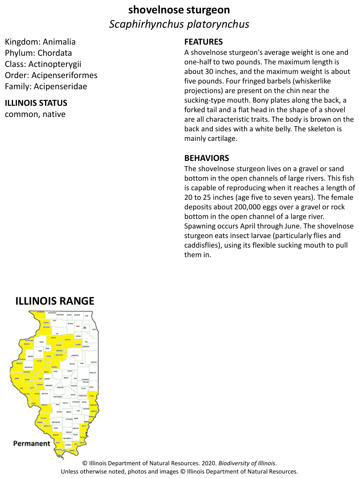# **shovelnose sturgeon** *Scaphirhynchus platorynchus*

Kingdom: Animalia Phylum: Chordata Class: Actinopterygii Order: Acipenseriformes Family: Acipenseridae

### **ILLINOIS STATUS**

common, native

#### **FEATURES**

A shovelnose sturgeon's average weight is one and one-half to two pounds. The maximum length is about 30 inches, and the maximum weight is about five pounds. Four fringed barbels (whiskerlike projections) are present on the chin near the sucking-type mouth. Bony plates along the back, a forked tail and a flat head in the shape of a shovel are all characteristic traits. The body is brown on the back and sides with a white belly. The skeleton is mainly cartilage.

#### **BEHAVIORS**

The shovelnose sturgeon lives on a gravel or sand bottom in the open channels of large rivers. This fish is capable of reproducing when it reaches a length of 20 to 25 inches (age five to seven years). The female deposits about 200,000 eggs over a gravel or rock bottom in the open channel of a large river. Spawning occurs April through June. The shovelnose sturgeon eats insect larvae (particularly flies and caddisflies), using its flexible sucking mouth to pull them in.

### **ILLINOIS RANGE**



© Illinois Department of Natural Resources. 2020. *Biodiversity of Illinois*. Unless otherwise noted, photos and images © Illinois Department of Natural Resources.